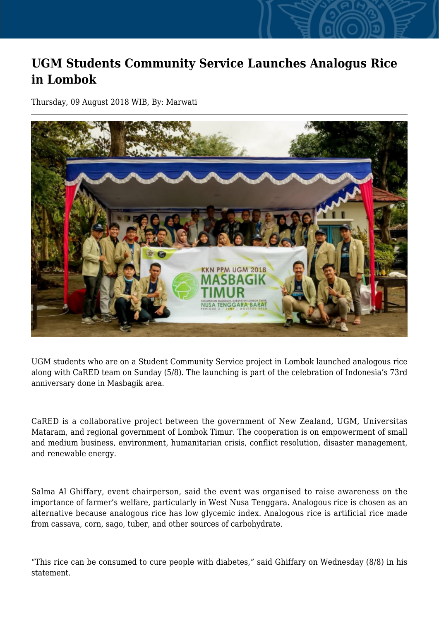## **UGM Students Community Service Launches Analogus Rice in Lombok**

Thursday, 09 August 2018 WIB, By: Marwati



UGM students who are on a Student Community Service project in Lombok launched analogous rice along with CaRED team on Sunday (5/8). The launching is part of the celebration of Indonesia's 73rd anniversary done in Masbagik area.

CaRED is a collaborative project between the government of New Zealand, UGM, Universitas Mataram, and regional government of Lombok Timur. The cooperation is on empowerment of small and medium business, environment, humanitarian crisis, conflict resolution, disaster management, and renewable energy.

Salma Al Ghiffary, event chairperson, said the event was organised to raise awareness on the importance of farmer's welfare, particularly in West Nusa Tenggara. Analogous rice is chosen as an alternative because analogous rice has low glycemic index. Analogous rice is artificial rice made from cassava, corn, sago, tuber, and other sources of carbohydrate.

"This rice can be consumed to cure people with diabetes," said Ghiffary on Wednesday (8/8) in his statement.